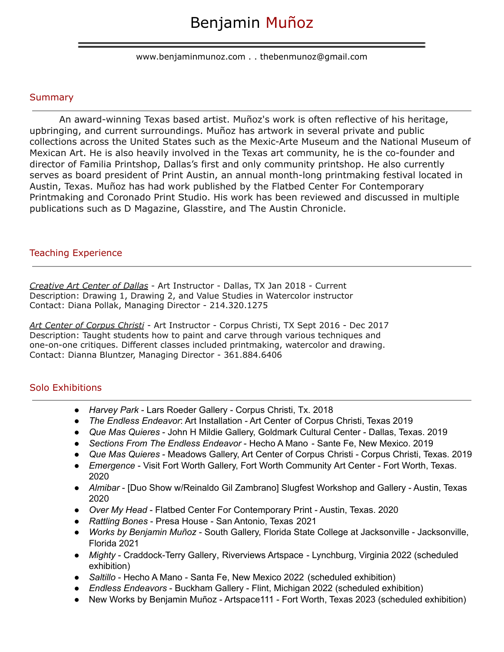www.benjaminmunoz.com . . thebenmunoz@gmail.com

#### Summary

An award-winning Texas based artist. Muñoz's work is often reflective of his heritage, upbringing, and current surroundings. Muñoz has artwork in several private and public collections across the United States such as the Mexic-Arte Museum and the National Museum of Mexican Art. He is also heavily involved in the Texas art community, he is the co-founder and director of Familia Printshop, Dallas's first and only community printshop. He also currently serves as board president of Print Austin, an annual month-long printmaking festival located in Austin, Texas. Muñoz has had work published by the Flatbed Center For Contemporary Printmaking and Coronado Print Studio. His work has been reviewed and discussed in multiple publications such as D Magazine, Glasstire, and The Austin Chronicle.

#### Teaching Experience

*Creative Art Center of Dallas* - Art Instructor - Dallas, TX Jan 2018 - Current Description: Drawing 1, Drawing 2, and Value Studies in Watercolor instructor Contact: Diana Pollak, Managing Director - 214.320.1275

*Art Center of Corpus Christi* - Art Instructor - Corpus Christi, TX Sept 2016 - Dec 2017 Description: Taught students how to paint and carve through various techniques and one-on-one critiques. Different classes included printmaking, watercolor and drawing. Contact: Dianna Bluntzer, Managing Director - 361.884.6406

### Solo Exhibitions

- *Harvey Park* Lars Roeder Gallery Corpus Christi, Tx. 2018
- *The Endless Endeavor*: Art Installation Art Center of Corpus Christi, Texas 2019
- *Que Mas Quieres* John H Mildie Gallery, Goldmark Cultural Center Dallas, Texas. 2019
- *Sections From The Endless Endeavor* Hecho A Mano Sante Fe, New Mexico. 2019
- *Que Mas Quieres* Meadows Gallery, Art Center of Corpus Christi Corpus Christi, Texas. 2019
- *Emergence* Visit Fort Worth Gallery, Fort Worth Community Art Center Fort Worth, Texas. 2020
- *Almibar* [Duo Show w/Reinaldo Gil Zambrano] Slugfest Workshop and Gallery Austin, Texas 2020
- *Over My Head* Flatbed Center For Contemporary Print Austin, Texas. 2020
- *Rattling Bones* Presa House San Antonio, Texas 2021
- *● Works by Benjamin Muñoz* South Gallery, Florida State College at Jacksonville Jacksonville, Florida 2021
- *Mighty* Craddock-Terry Gallery, Riverviews Artspace Lynchburg, Virginia 2022 (scheduled exhibition)
- *Saltillo* Hecho A Mano Santa Fe, New Mexico 2022 (scheduled exhibition)
- *Endless Endeavors* Buckham Gallery Flint, Michigan 2022 (scheduled exhibition)
- New Works by Benjamin Muñoz Artspace 111 Fort Worth, Texas 2023 (scheduled exhibition)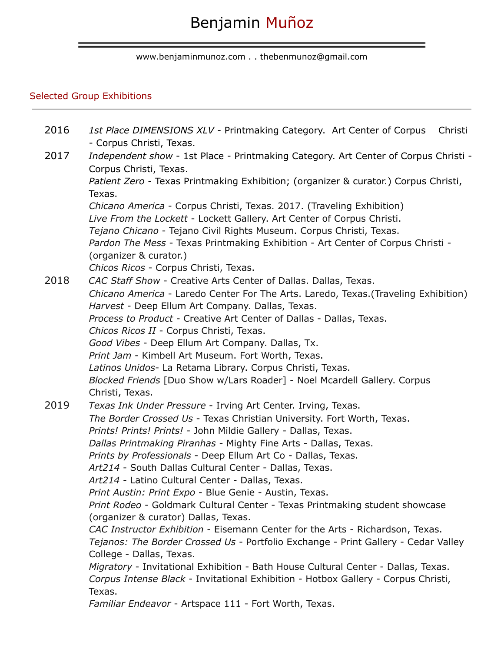www.benjaminmunoz.com . . thebenmunoz@gmail.com

## Selected Group Exhibitions

| 2016 | 1st Place DIMENSIONS XLV - Printmaking Category. Art Center of Corpus<br>Christi<br>- Corpus Christi, Texas.                                  |
|------|-----------------------------------------------------------------------------------------------------------------------------------------------|
| 2017 | Independent show - 1st Place - Printmaking Category. Art Center of Corpus Christi -<br>Corpus Christi, Texas.                                 |
|      | Patient Zero - Texas Printmaking Exhibition; (organizer & curator.) Corpus Christi,<br>Texas.                                                 |
|      | Chicano America - Corpus Christi, Texas. 2017. (Traveling Exhibition)                                                                         |
|      | Live From the Lockett - Lockett Gallery. Art Center of Corpus Christi.<br>Tejano Chicano - Tejano Civil Rights Museum. Corpus Christi, Texas. |
|      | Pardon The Mess - Texas Printmaking Exhibition - Art Center of Corpus Christi -<br>(organizer & curator.)                                     |
|      | Chicos Ricos - Corpus Christi, Texas.                                                                                                         |
| 2018 | CAC Staff Show - Creative Arts Center of Dallas. Dallas, Texas.                                                                               |
|      | Chicano America - Laredo Center For The Arts. Laredo, Texas. (Traveling Exhibition)                                                           |
|      | Harvest - Deep Ellum Art Company. Dallas, Texas.                                                                                              |
|      | Process to Product - Creative Art Center of Dallas - Dallas, Texas.                                                                           |
|      | Chicos Ricos II - Corpus Christi, Texas.<br>Good Vibes - Deep Ellum Art Company. Dallas, Tx.                                                  |
|      | Print Jam - Kimbell Art Museum. Fort Worth, Texas.                                                                                            |
|      | Latinos Unidos- La Retama Library. Corpus Christi, Texas.                                                                                     |
|      | Blocked Friends [Duo Show w/Lars Roader] - Noel Mcardell Gallery. Corpus                                                                      |
|      | Christi, Texas.                                                                                                                               |
| 2019 | Texas Ink Under Pressure - Irving Art Center. Irving, Texas.                                                                                  |
|      | The Border Crossed Us - Texas Christian University. Fort Worth, Texas.                                                                        |
|      | Prints! Prints! Prints! - John Mildie Gallery - Dallas, Texas.                                                                                |
|      | Dallas Printmaking Piranhas - Mighty Fine Arts - Dallas, Texas.                                                                               |
|      | Prints by Professionals - Deep Ellum Art Co - Dallas, Texas.<br>Art214 - South Dallas Cultural Center - Dallas, Texas.                        |
|      | Art214 - Latino Cultural Center - Dallas, Texas.                                                                                              |
|      | Print Austin: Print Expo - Blue Genie - Austin, Texas.                                                                                        |
|      | Print Rodeo - Goldmark Cultural Center - Texas Printmaking student showcase<br>(organizer & curator) Dallas, Texas.                           |
|      | CAC Instructor Exhibition - Eisemann Center for the Arts - Richardson, Texas.                                                                 |
|      | Tejanos: The Border Crossed Us - Portfolio Exchange - Print Gallery - Cedar Valley                                                            |
|      | College - Dallas, Texas.                                                                                                                      |
|      | Migratory - Invitational Exhibition - Bath House Cultural Center - Dallas, Texas.                                                             |
|      | Corpus Intense Black - Invitational Exhibition - Hotbox Gallery - Corpus Christi,<br>Texas.                                                   |
|      | Familiar Endeavor - Artspace 111 - Fort Worth, Texas.                                                                                         |
|      |                                                                                                                                               |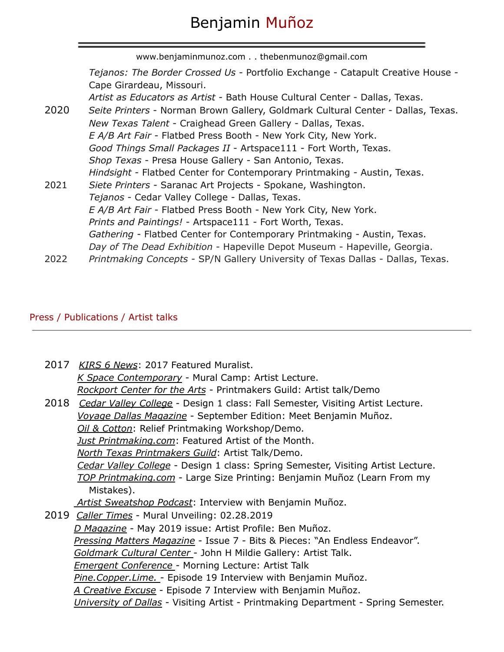www.benjaminmunoz.com . . thebenmunoz@gmail.com *Tejanos: The Border Crossed Us* - Portfolio Exchange - Catapult Creative House - Cape Girardeau, Missouri. *Artist as Educators as Artist* - Bath House Cultural Center - Dallas, Texas. 2020 *Seite Printers* - Norman Brown Gallery, Goldmark Cultural Center - Dallas, Texas. *New Texas Talent* - Craighead Green Gallery - Dallas, Texas. *E A/B Art Fair* - Flatbed Press Booth - New York City, New York. *Good Things Small Packages II* - Artspace111 - Fort Worth, Texas. *Shop Texas* - Presa House Gallery - San Antonio, Texas. *Hindsight* - Flatbed Center for Contemporary Printmaking - Austin, Texas. 2021 *Siete Printers* - Saranac Art Projects - Spokane, Washington. *Tejanos* - Cedar Valley College - Dallas, Texas. *E A/B Art Fair* - Flatbed Press Booth - New York City, New York. *Prints and Paintings!* - Artspace111 - Fort Worth, Texas. *Gathering* - Flatbed Center for Contemporary Printmaking - Austin, Texas. *Day of The Dead Exhibition* - Hapeville Depot Museum - Hapeville, Georgia. 2022 *Printmaking Concepts* - SP/N Gallery University of Texas Dallas - Dallas, Texas.

### Press / Publications / Artist talks

| 2017 KIRS 6 News: 2017 Featured Muralist.                                           |
|-------------------------------------------------------------------------------------|
| K Space Contemporary - Mural Camp: Artist Lecture.                                  |
| Rockport Center for the Arts - Printmakers Guild: Artist talk/Demo                  |
| 2018 Cedar Valley College - Design 1 class: Fall Semester, Visiting Artist Lecture. |
| Voyage Dallas Magazine - September Edition: Meet Benjamin Muñoz.                    |
| Oil & Cotton: Relief Printmaking Workshop/Demo.                                     |
| Just Printmaking.com: Featured Artist of the Month.                                 |
| North Texas Printmakers Guild: Artist Talk/Demo.                                    |
| Cedar Valley College - Design 1 class: Spring Semester, Visiting Artist Lecture.    |
| TOP Printmaking.com - Large Size Printing: Benjamin Muñoz (Learn From my            |
| Mistakes).                                                                          |
| Artist Sweatshop Podcast: Interview with Benjamin Muñoz.                            |
| 2019 <i>Caller Times</i> - Mural Unveiling: 02.28.2019                              |
| D Magazine - May 2019 issue: Artist Profile: Ben Muñoz.                             |
| Pressing Matters Magazine - Issue 7 - Bits & Pieces: "An Endless Endeavor".         |
| Goldmark Cultural Center - John H Mildie Gallery: Artist Talk.                      |
| <b>Emergent Conference</b> - Morning Lecture: Artist Talk                           |
| Pine. Copper. Lime. - Episode 19 Interview with Benjamin Muñoz.                     |
| A Creative Excuse - Episode 7 Interview with Benjamin Muñoz.                        |
| University of Dallas - Visiting Artist - Printmaking Department - Spring Semester.  |
|                                                                                     |